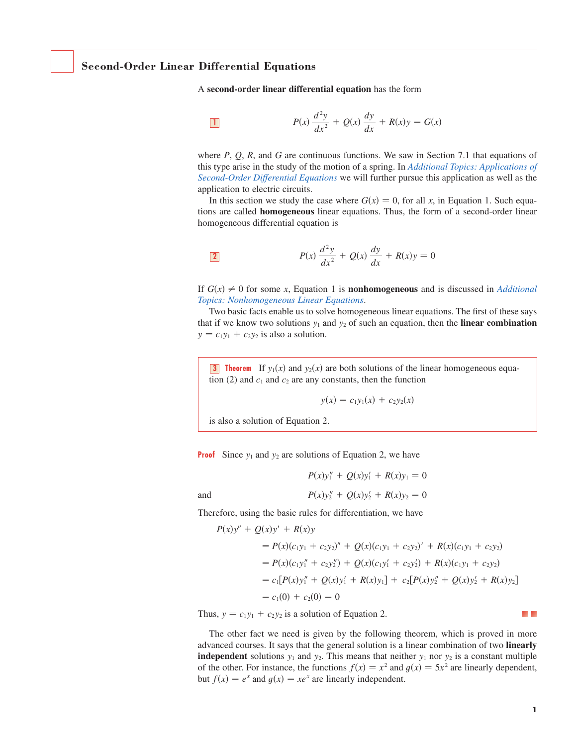# **Second-Order Linear Differential Equations**

A **second-order linear differential equation** has the form

$$
P(x)\frac{d^2y}{dx^2} + Q(x)\frac{dy}{dx} + R(x)y = G(x)
$$

where  $P$ ,  $Q$ ,  $R$ , and  $G$  are continuous functions. We saw in Section 7.1 that equations of this type arise in the study of the motion of a spring. In *Additional Topics: Applications of Second-Order Differential Equations* we will further pursue this application as well as the application to electric circuits.

In this section we study the case where  $G(x) = 0$ , for all x, in Equation 1. Such equations are called **homogeneous** linear equations. Thus, the form of a second-order linear homogeneous differential equation is

$$
P(x)\frac{d^2y}{dx^2} + Q(x)\frac{dy}{dx} + R(x)y = 0
$$

If  $G(x) \neq 0$  for some x, Equation 1 is **nonhomogeneous** and is discussed in *Additional Topics: Nonhomogeneous Linear Equations*.

Two basic facts enable us to solve homogeneous linear equations. The first of these says that if we know two solutions  $y_1$  and  $y_2$  of such an equation, then the **linear combination**  $y = c_1y_1 + c_2y_2$  is also a solution.

**3 Theorem** If  $y_1(x)$  and  $y_2(x)$  are both solutions of the linear homogeneous equation (2) and  $c_1$  and  $c_2$  are any constants, then the function

$$
y(x) = c_1 y_1(x) + c_2 y_2(x)
$$

 $P(x)y_1'' + Q(x)y_1' + R(x)y_1 = 0$ 

is also a solution of Equation 2.

and

**Proof** Since  $y_1$  and  $y_2$  are solutions of Equation 2, we have

 $P(x)y''_2 + Q(x)y'_2 + R(x)y_2 = 0$ 

Therefore, using the basic rules for differentiation, we have

$$
P(x)y'' + Q(x)y' + R(x)y
$$
  
=  $P(x)(c_1y_1 + c_2y_2)'' + Q(x)(c_1y_1 + c_2y_2)' + R(x)(c_1y_1 + c_2y_2)$   
=  $P(x)(c_1y''_1 + c_2y''_2) + Q(x)(c_1y'_1 + c_2y'_2) + R(x)(c_1y_1 + c_2y_2)$   
=  $c_1[P(x)y''_1 + Q(x)y'_1 + R(x)y_1] + c_2[P(x)y''_2 + Q(x)y'_2 + R(x)y_2]$   
=  $c_1(0) + c_2(0) = 0$ 

Thus,  $y = c_1y_1 + c_2y_2$  is a solution of Equation 2.

The other fact we need is given by the following theorem, which is proved in more advanced courses. It says that the general solution is a linear combination of two **linearly independent** solutions  $y_1$  and  $y_2$ . This means that neither  $y_1$  nor  $y_2$  is a constant multiple **of the other.** For instance, the functions  $f(x) = x^2$  and  $g(x) = 5x^2$  are linearly dependent, but  $f(x) = e^x$  and  $g(x) = xe^x$  are linearly independent.

**Contract**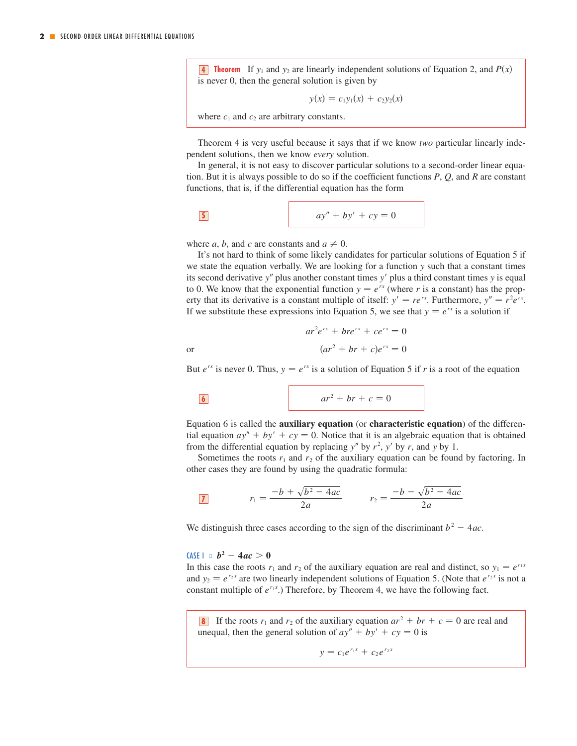**4 Theorem** If  $y_1$  and  $y_2$  are linearly independent solutions of Equation 2, and  $P(x)$ is never 0, then the general solution is given by

$$
y(x) = c_1 y_1(x) + c_2 y_2(x)
$$

where  $c_1$  and  $c_2$  are arbitrary constants.

Theorem 4 is very useful because it says that if we know *two* particular linearly independent solutions, then we know *every* solution.

In general, it is not easy to discover particular solutions to a second-order linear equation. But it is always possible to do so if the coefficient functions  $P$ ,  $Q$ , and  $R$  are constant functions, that is, if the differential equation has the form

$$
ay'' + by' + cy = 0
$$

where *a*, *b*, and *c* are constants and  $a \neq 0$ .

It's not hard to think of some likely candidates for particular solutions of Equation 5 if we state the equation verbally. We are looking for a function y such that a constant times its second derivative y" plus another constant times y' plus a third constant times y is equal to 0. We know that the exponential function  $y = e^{rx}$  (where r is a constant) has the propfrom that its derivative is a constant multiple of itself:  $y' = re^{rx}$ . Furthermore,  $y'' = r^2 e^{rx}$ . If we substitute these expressions into Equation 5, we see that  $y = e^{rx}$  is a solution if

$$
ar2erx + brerx + cerx = 0
$$

$$
(ar2 + br + c)erx = 0
$$

But  $e^{rx}$  is never 0. Thus,  $y = e^{rx}$  is a solution of Equation 5 if r is a root of the equation

$$
\boxed{\mathbf{6}}
$$

or

$$
ar^2 + br + c = 0
$$

Equation 6 is called the **auxiliary equation** (or **characteristic equation**) of the differen-Equation 6 is called the **auxiliarly equation** (or **characteristic equation**) or the differential equation  $ay'' + by' + cy = 0$ . Notice that it is an algebraic equation that is obtained from the differential equation by replacing  $y''$  by  $r^2$ ,  $y'$  by r, and y by 1.

Sometimes the roots  $r_1$  and  $r_2$  of the auxiliary equation can be found by factoring. In other cases they are found by using the quadratic formula:

$$
\boxed{7} \qquad r_1 = \frac{-b + \sqrt{b^2 - 4ac}}{2a} \qquad r_2 = \frac{-b - \sqrt{b^2 - 4ac}}{2a}
$$

We distinguish three cases according to the sign of the discriminant  $b^2 - 4ac$ .

# $64S = b^2 - 4ac > 0$

In this case the roots  $r_1$  and  $r_2$  of the auxiliary equation are real and distinct, so  $y_1 = e^{r_1 x}$ and  $y_2 = e^{r_2 x}$  are two linearly independent solutions of Equation 5. (Note that  $e^{r_2 x}$  is not a constant multiple of  $e^{r_1x}$ .) Therefore, by Theorem 4, we have the following fact.

**8** If the roots  $r_1$  and  $r_2$  of the auxiliary equation  $ar^2 + br + c = 0$  are real and unequal, then the general solution of  $ay'' + by' + cy = 0$  is

$$
y = c_1 e^{r_1 x} + c_2 e^{r_2 x}
$$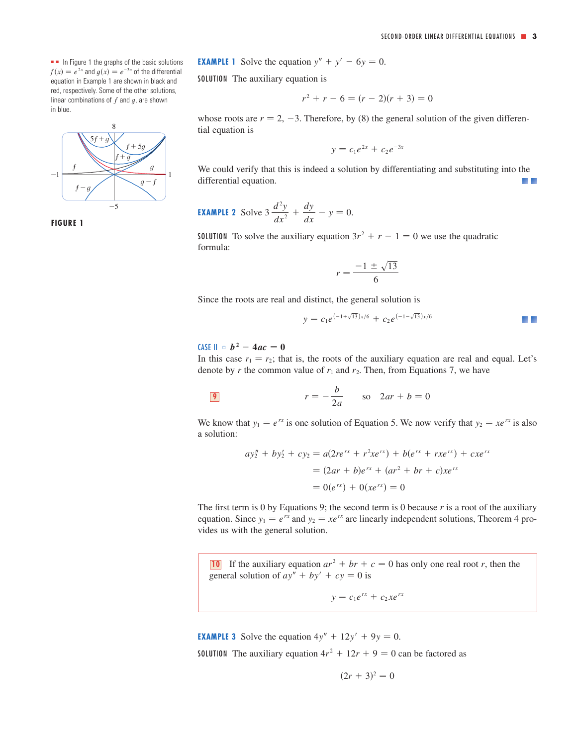■ In Figure 1 the graphs of the basic solutions  $f(x) = e^{2x}$  and  $g(x) = e^{-3x}$  of the differential equation in Example 1 are shown in black and red, respectively. Some of the other solutions, linear combinations of  $f$  and  $g$ , are shown in blue.





**EXAMPLE 1** Solve the equation 
$$
y'' + y' - 6y = 0
$$
.

SOLUTION The auxiliary equation is

$$
r^2 + r - 6 = (r - 2)(r + 3) = 0
$$

whose roots are  $r = 2, -3$ . Therefore, by (8) the general solution of the given differential equation is

$$
y = c_1 e^{2x} + c_2 e^{-3x}
$$

We could verify that this is indeed a solution by differentiating and substituting into the differential equation.  $\mathcal{L}$ 

**EXAMPLE 2** Solve 
$$
3 \frac{d^2y}{dx^2} + \frac{dy}{dx} - y = 0.
$$

**SOLUTION** To solve the auxiliary equation  $3r^2 + r - 1 = 0$  we use the quadratic formula:

$$
r = \frac{-1 \pm \sqrt{13}}{6}
$$

Since the roots are real and distinct, the general solution is

$$
y = c_1 e^{(-1+\sqrt{13})x/6} + c_2 e^{(-1-\sqrt{13})x/6}
$$

# $CASE II = b^2 - 4ac = 0$

In this case  $r_1 = r_2$ ; that is, the roots of the auxiliary equation are real and equal. Let's denote by r the common value of  $r_1$  and  $r_2$ . Then, from Equations 7, we have

$$
r = -\frac{b}{2a} \qquad \text{so} \quad 2ar + b = 0
$$

We know that  $y_1 = e^{rx}$  is one solution of Equation 5. We now verify that  $y_2 = xe^{rx}$  is also a solution:

$$
ay''_2 + by'_2 + cy_2 = a(2re^{rx} + r^2xe^{rx}) + b(e^{rx} + rxe^{rx}) + cxe^{rx}
$$
  
=  $(2ar + b)e^{rx} + (ar^2 + br + c)xe^{rx}$   
=  $0(e^{rx}) + 0(xe^{rx}) = 0$ 

The first term is 0 by Equations 9; the second term is 0 because  $r$  is a root of the auxiliary Fire instruction is 0 by Equations 9, the second term is 0 because 7 is a root of the auxiliary equation. Since  $y_1 = e^{rx}$  and  $y_2 = xe^{rx}$  are linearly independent solutions, Theorem 4 provides us with the general solution.

**10** If the auxiliary equation  $ar^2 + br + c = 0$  has only one real root r, then the general solution of  $ay'' + by' + cy = 0$  is

$$
y = c_1 e^{rx} + c_2 x e^{rx}
$$

**EXAMPLE 3** Solve the equation  $4y'' + 12y' + 9y = 0$ . **SOLUTION** The auxiliary equation  $4r^2 + 12r + 9 = 0$  can be factored as

$$
(2r+3)^2=0
$$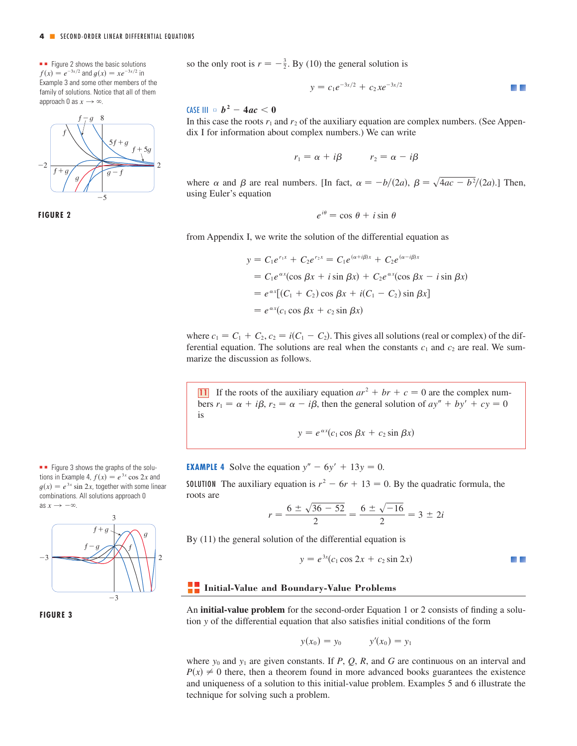$f(x) = e^{-3x/2}$  and  $g(x) = xe^{-3x/2}$  in Example 3 and some other members of the family of solutions. Notice that all of them approach 0 as  $x \to \infty$ .



**FIGURE 2**

■ ■ Figure 3 shows the graphs of the solutions in Example 4,  $f(x) = e^{3x} \cos 2x$  and  $g(x) = e^{3x} \sin 2x$ , together with some linear combinations. All solutions approach 0 as  $x \rightarrow -\infty$ .





**•** Figure 2 shows the basic solutions **because in So the only root is**  $r = -\frac{3}{2}$ **. By (10) the general solution is** 

$$
y = c_1 e^{-3x/2} + c_2 x e^{-3x/2}
$$

# $\textsf{CASE III} \ \circ \ \bm{b}^{\,2} - 4ac < 0$

In this case the roots  $r_1$  and  $r_2$  of the auxiliary equation are complex numbers. (See Appendix I for information about complex numbers.) We can write

$$
r_1 = \alpha + i\beta \qquad \quad r_2 = \alpha - i\beta
$$

where  $\alpha$  and  $\beta$  are real numbers. [In fact,  $\alpha = -b/(2a)$ ,  $\beta = \sqrt{4ac - b^2}/(2a)$ .] Then, using Euler's equation

$$
e^{i\theta} = \cos\,\theta + i\sin\,\theta
$$

from Appendix I, we write the solution of the differential equation as

$$
y = C_1 e^{r_1 x} + C_2 e^{r_2 x} = C_1 e^{(\alpha + i\beta)x} + C_2 e^{(\alpha - i\beta)x}
$$
  
=  $C_1 e^{\alpha x} (\cos \beta x + i \sin \beta x) + C_2 e^{\alpha x} (\cos \beta x - i \sin \beta x)$   
=  $e^{\alpha x} [(C_1 + C_2) \cos \beta x + i(C_1 - C_2) \sin \beta x]$   
=  $e^{\alpha x} (C_1 \cos \beta x + C_2 \sin \beta x)$ 

where  $c_1 = C_1 + C_2$ ,  $c_2 = i(C_1 - C_2)$ . This gives all solutions (real or complex) of the differential equation. The solutions are real when the constants  $c_1$  and  $c_2$  are real. We summarize the discussion as follows.

Il If the roots of the auxiliary equation  $ar^2 + br + c = 0$  are the complex numbers  $r_1 = \alpha + i\beta$ ,  $r_2 = \alpha - i\beta$ , then the general solution of  $ay'' + by' + cy = 0$ is

$$
y = e^{\alpha x} (c_1 \cos \beta x + c_2 \sin \beta x)
$$

**EXAMPLE 4** Solve the equation  $y'' - 6y' + 13y = 0$ .

**SOLUTION** The auxiliary equation is  $r^2 - 6r + 13 = 0$ . By the quadratic formula, the roots are

$$
r = \frac{6 \pm \sqrt{36 - 52}}{2} = \frac{6 \pm \sqrt{-16}}{2} = 3 \pm 2i
$$

By (11) the general solution of the differential equation is

$$
y = e^{3x} (c_1 \cos 2x + c_2 \sin 2x)
$$

## **Initial-Value and Boundary-Value Problems**

An **initial-value problem** for the second-order Equation 1 or 2 consists of finding a solution y of the differential equation that also satisfies initial conditions of the form

$$
y(x_0) = y_0
$$
  $y'(x_0) = y_1$ 

where  $y_0$  and  $y_1$  are given constants. If P, Q, R, and G are continuous on an interval and where  $y_0$  and  $y_1$  are given constants. If  $T$ ,  $Q$ ,  $R$ , and  $Q$  are continuous on an interval and  $P(x) \neq 0$  there, then a theorem found in more advanced books guarantees the existence and uniqueness of a solution to this initial-value problem. Examples 5 and 6 illustrate the technique for solving such a problem.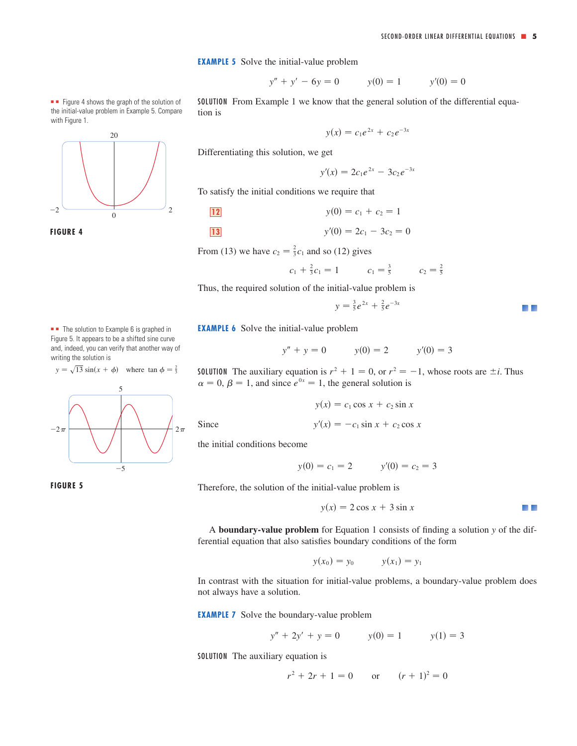#### **EXAMPLE 5** Solve the initial-value problem

$$
y'' + y' - 6y = 0 \qquad y(0) = 1 \qquad y'(0) = 0
$$

SOLUTION From Example 1 we know that the general solution of the differential equation is

$$
y(x) = c_1 e^{2x} + c_2 e^{-3x}
$$

Differentiating this solution, we get

 $y'(x) = 2c_1e^{2x} - 3c_2e^{-3x}$ 

To satisfy the initial conditions we require that

12 
$$
y(0) = c_1 + c_2 = 1
$$
  
13  $y'(0) = 2c_1 - 3c_2 = 0$ 

From (13) we have  $c_2 = \frac{2}{3}c_1$  and so (12) gives

$$
c_1 + \frac{2}{3}c_1 = 1
$$
  $c_1 = \frac{3}{5}$   $c_2 = \frac{2}{5}$ 

Thus, the required solution of the initial-value problem is

$$
y = \frac{3}{5}e^{2x} + \frac{2}{5}e^{-3x}
$$

a pr

**EXAMPLE 6** Solve the initial-value problem

$$
y'' + y = 0
$$
  $y(0) = 2$   $y'(0) = 3$ 

**SOLUTION** The auxiliary equation is  $r^2 + 1 = 0$ , or  $r^2 = -1$ , whose roots are  $\pm i$ . Thus  $\alpha = 0, \beta = 1$ , and since  $e^{0x} = 1$ , the general solution is

$$
y(x) = c_1 \cos x + c_2 \sin x
$$
  

$$
y'(x) = -c_1 \sin x + c_2 \cos x
$$

the initial conditions become

Since

$$
y(0) = c_1 = 2
$$
  $y'(0) = c_2 = 3$ 

Therefore, the solution of the initial-value problem is

$$
y(x) = 2\cos x + 3\sin x
$$

A **boundary-value problem** for Equation 1 consists of finding a solution *y* of the differential equation that also satisfies boundary conditions of the form

$$
y(x_0) = y_0
$$
  $y(x_1) = y_1$ 

In contrast with the situation for initial-value problems, a boundary-value problem does not always have a solution.

**EXAMPLE 7** Solve the boundary-value problem

$$
y'' + 2y' + y = 0 \qquad y(0) = 1 \qquad y(1) = 3
$$

SOLUTION The auxiliary equation is

$$
r^2 + 2r + 1 = 0 \qquad \text{or} \qquad (r+1)^2 = 0
$$



■ ■ Figure 4 shows the graph of the solution of the initial-value problem in Example 5. Compare

**FIGURE 4**



■ ■ The solution to Example 6 is graphed in Figure 5. It appears to be a shifted sine curve and, indeed, you can verify that another way of

writing the solution is

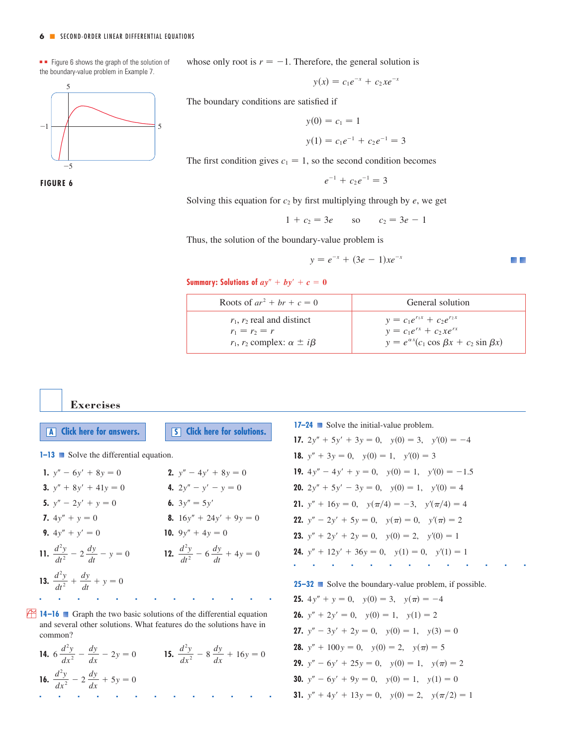#### **6** ■ SECOND-ORDER LINEAR DIFFERENTIAL EQUATIONS

■■ Figure 6 shows the graph of the solution of the boundary-value problem in Example 7.

5 \_5  $-1$   $\rightarrow$  5

**FIGURE 6**

whose only root is  $r = -1$ . Therefore, the general solution is

$$
y(x) = c_1 e^{-x} + c_2 x e^{-x}
$$

The boundary conditions are satisfied if

$$
y(0) = c_1 = 1
$$
  

$$
y(1) = c_1 e^{-1} + c_2 e^{-1} = 3
$$

The first condition gives  $c_1 = 1$ , so the second condition becomes

$$
e^{-1} + c_2 e^{-1} = 3
$$

Solving this equation for  $c_2$  by first multiplying through by  $e$ , we get

 $1 + c_2 = 3e$  so  $c_2 = 3e - 1$ 

Thus, the solution of the boundary-value problem is

$$
y = e^{-x} + (3e - 1)xe^{-x}
$$

Summary: Solutions of  $ay'' + by' + c = 0$ 

| Roots of $ar^2 + br + c = 0$            | General solution                                         |
|-----------------------------------------|----------------------------------------------------------|
| $r_1$ , $r_2$ real and distinct         | $y = c_1 e^{r_1 x} + c_2 e^{r_2 x}$                      |
| $r_1 = r_2 = r$                         | $y = c_1 e^{rx} + c_2 x e^{rx}$                          |
| $r_1, r_2$ complex: $\alpha \pm i\beta$ | $y = e^{\alpha x} (c_1 \cos \beta x + c_2 \sin \beta x)$ |

#### **Exercises**

**A Click** here for answers. **S S Click** here for solutions.

**1–13** Solve the differential equation.

| 1. $y'' - 6y' + 8y = 0$                          | <b>2.</b> $y'' - 4y' + 8y = 0$                  |
|--------------------------------------------------|-------------------------------------------------|
| <b>3.</b> $y'' + 8y' + 41y = 0$                  | 4. $2y'' - y' - y = 0$                          |
| 5. $y'' - 2y' + y = 0$                           | 6. $3y'' = 5y'$                                 |
| 7. $4y'' + y = 0$                                | <b>8.</b> $16y'' + 24y' + 9y = 0$               |
| <b>9.</b> $4y'' + y' = 0$                        | 10. $9y'' + 4y = 0$                             |
| 11. $\frac{d^2y}{dt^2} - 2\frac{dy}{dt} - y = 0$ | 12. $rac{d^2y}{dt^2} - 6\frac{dy}{dt} + 4y = 0$ |
| 13. $rac{d^2y}{dt^2} + \frac{dy}{dt} + y = 0$    |                                                 |
|                                                  |                                                 |

**14–16** Graph the two basic solutions of the differential equation and several other solutions. What features do the solutions have in common?

■■■■■■■■■■■■■

**14.**  $6\frac{d^2y}{dx^2} - \frac{dy}{dx} - 2y = 0$  **15.**  $\frac{d^2y}{dx^2} - 8\frac{dy}{dx} + 16y = 0$ **16.**  $\frac{d^2y}{dx^2} - 2\frac{dy}{dx} + 5y = 0$ ■■■■■■■■■■■■■ **17–24** Solve the initial-value problem. **17.**  $2y'' + 5y' + 3y = 0$ ,  $y(0) = 3$ ,  $y'(0) = -4$ **18.**  $y'' + 3y = 0$ ,  $y(0) = 1$ ,  $y'(0) = 3$ **19.**  $4y'' - 4y' + y = 0$ ,  $y(0) = 1$ ,  $y'(0) = -1.5$ **20.**  $2y'' + 5y' - 3y = 0$ ,  $y(0) = 1$ ,  $y'(0) = 4$ **21.**  $y'' + 16y = 0$ ,  $y(\pi/4) = -3$ ,  $y'(\pi/4) = 4$ **22.**  $y'' - 2y' + 5y = 0$ ,  $y(\pi) = 0$ ,  $y'(\pi) = 2$ **23.**  $y'' + 2y' + 2y = 0$ ,  $y(0) = 2$ ,  $y'(0) = 1$ **24.**  $y'' + 12y' + 36y = 0$ ,  $y(1) = 0$ ,  $y'(1) = 1$ 

■■■■■■■■■■■■■

**25–32** ■ Solve the boundary-value problem, if possible. **25.**  $4y'' + y = 0$ ,  $y(0) = 3$ ,  $y(\pi) = -4$ **26.**  $y'' + 2y' = 0$ ,  $y(0) = 1$ ,  $y(1) = 2$ **27.**  $y'' - 3y' + 2y = 0$ ,  $y(0) = 1$ ,  $y(3) = 0$ **28.**  $y'' + 100y = 0$ ,  $y(0) = 2$ ,  $y(\pi) = 5$ **29.**  $y'' - 6y' + 25y = 0$ ,  $y(0) = 1$ ,  $y(\pi) = 2$ **30.**  $y'' - 6y' + 9y = 0$ ,  $y(0) = 1$ ,  $y(1) = 0$ **31.**  $y'' + 4y' + 13y = 0$ ,  $y(0) = 2$ ,  $y(\pi/2) = 1$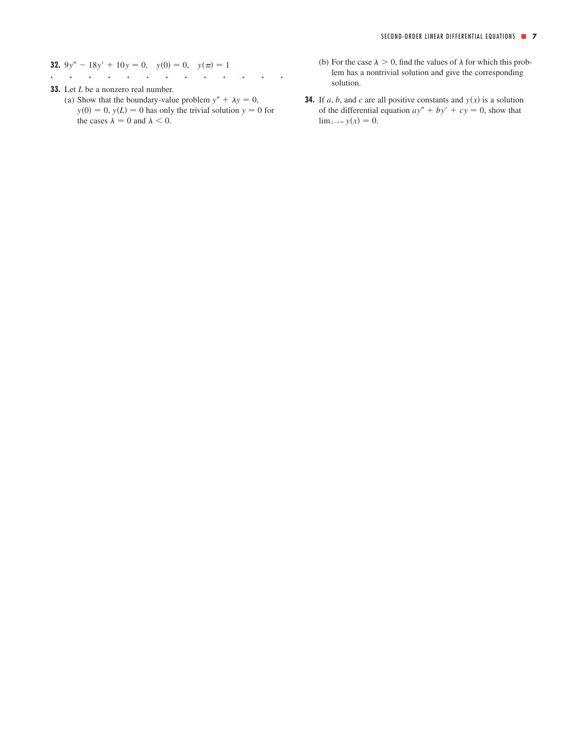**32.** 
$$
9y'' - 18y' + 10y = 0
$$
,  $y(0) = 0$ ,  $y(\pi) = 1$ 

- ■■■■■■■■■■■■■
- **33.** Let *L* be a nonzero real number. (a) Show that the boundary-value problem  $y'' + \lambda y = 0$ ,  $y(0) = 0$ ,  $y(L) = 0$  has only the trivial solution  $y = 0$  for the cases  $\lambda = 0$  and  $\lambda < 0$ .
- (b) For the case  $\lambda > 0$ , find the values of  $\lambda$  for which this problem has a nontrivial solution and give the corresponding solution.
	- **34.** If a, b, and c are all positive constants and  $y(x)$  is a solution of the differential equation  $ay'' + by' + cy = 0$ , show that  $\lim_{x\to\infty} y(x) = 0.$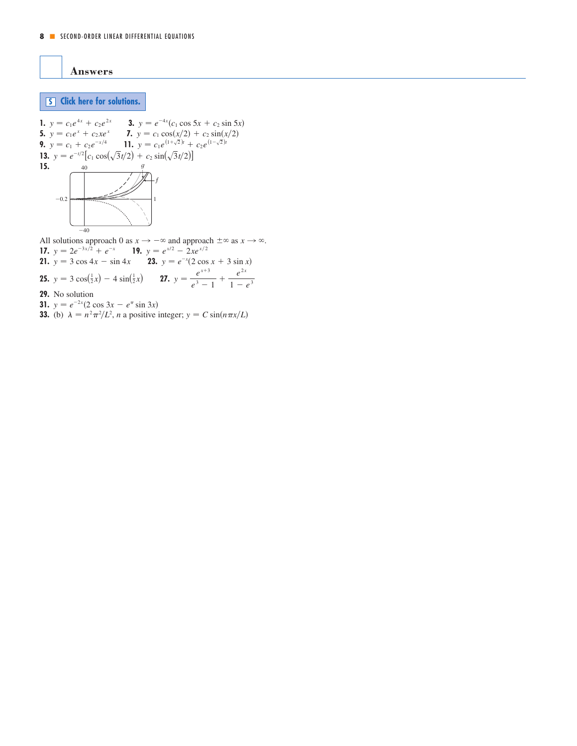<span id="page-7-0"></span>**Answers**

# **S [Click here for solutions.](#page-8-0)**

1. 
$$
y = c_1e^{4x} + c_2e^{2x}
$$
  
\n3.  $y = e^{-4x}(c_1 \cos 5x + c_2 \sin 5x)$   
\n5.  $y = c_1e^x + c_2xe^x$   
\n7.  $y = c_1 \cos(x/2) + c_2 \sin(x/2)$   
\n9.  $y = c_1 + c_2e^{-x/4}$   
\n11.  $y = c_1e^{(1+\sqrt{2})t} + c_2e^{(1-\sqrt{2})t}$   
\n13.  $y = e^{-t/2}[c_1 \cos(\sqrt{3}t/2) + c_2 \sin(\sqrt{3}t/2)]$   
\n15.

**17.**  $y = 2e^{-3x/2} + e^{-x}$  **19. 21.**  $y = 3 \cos 4x - \sin 4x$  **23.**  $y = e^{-x}(2 \cos x + 3 \sin x)$ **25.**  $y = 3 \cos(\frac{1}{2}x) - 4 \sin(\frac{1}{2}x)$  **27.**  $y = \frac{e^{x+3}}{e^3 - 1} + \frac{e^{2x}}{1 - e^3}$ **29.** No solution **31.**  $y = e^{-2x}(2 \cos 3x - e^{\pi} \sin 3x)$ **33.** (b)  $\lambda = n^2 \pi^2 / L^2$ , *n* a positive integer;  $y = C \sin(n \pi x / L)$ solutions approach 0 as  $x \to -\infty$  and approach  $\pm \infty$  as  $x \to \infty$ <br>  $y = 2e^{-3x/2} + e^{-x}$  **19.**  $y = e^{x/2} - 2xe^{x/2}$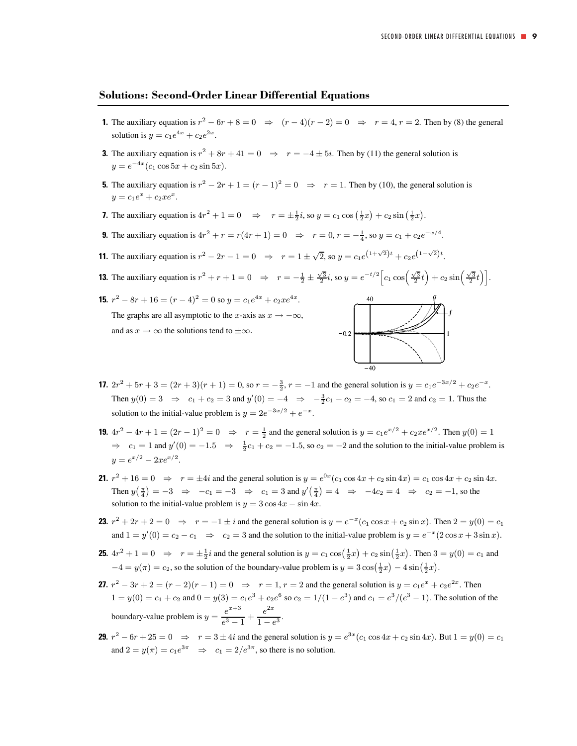## <span id="page-8-0"></span>**Solutions: Second-Order Linear Differential Equations**

- **1.** The auxiliary equation is  $r^2 6r + 8 = 0 \Rightarrow (r 4)(r 2) = 0 \Rightarrow r = 4, r = 2$ . Then by (8) the general solution is  $y = c_1 e^{4x} + c_2 e^{2x}$ .
- **3.** The auxiliary equation is  $r^2 + 8r + 41 = 0 \Rightarrow r = -4 \pm 5i$ . Then by (11) the general solution is  $y = e^{-4x} (c_1 \cos 5x + c_2 \sin 5x).$
- **5.** The auxiliary equation is  $r^2 2r + 1 = (r 1)^2 = 0 \Rightarrow r = 1$ . Then by (10), the general solution is  $y = c_1e^x + c_2xe^x$ .
- **7.** The auxiliary equation is  $4r^2 + 1 = 0 \Rightarrow r = \pm \frac{1}{2}i$ , so  $y = c_1 \cos(\frac{1}{2}x) + c_2 \sin(\frac{1}{2}x)$ .
- **9.** The auxiliary equation is  $4r^2 + r = r(4r + 1) = 0 \Rightarrow r = 0, r = -\frac{1}{4}$ , so  $y = c_1 + c_2 e^{-x/4}$ .
- **11.** The auxiliary equation is  $r^2 2r 1 = 0 \Rightarrow r = 1 \pm \sqrt{2}$ , so  $y = c_1 e^{(1+\sqrt{2})t} + c_2 e^{(1-\sqrt{2})t}$ .
- **13.** The auxiliary equation is  $r^2 + r + 1 = 0 \Rightarrow r = -\frac{1}{2} \pm \frac{\sqrt{3}}{2}i$ , so  $y = e^{-t/2} \left[c_1 \cos\left(\frac{\sqrt{3}}{2}t\right) + c_2 \sin\left(\frac{\sqrt{3}}{2}t\right)\right]$ .
- **15.**  $r^2 8r + 16 = (r 4)^2 = 0$  so  $y = c_1 e^{4x} + c_2 x e^{4x}$ . The graphs are all asymptotic to the x-axis as  $x \to -\infty$ , and as  $x \to \infty$  the solutions tend to  $\pm \infty$ .



- **17.**  $2r^2 + 5r + 3 = (2r + 3)(r + 1) = 0$ , so  $r = -\frac{3}{2}$ ,  $r = -1$  and the general solution is  $y = c_1e^{-3x/2} + c_2e^{-x}$ . Then  $y(0) = 3 \Rightarrow c_1 + c_2 = 3$  and  $y'(0) = -4 \Rightarrow -\frac{3}{2}c_1 - c_2 = -4$ , so  $c_1 = 2$  and  $c_2 = 1$ . Thus the solution to the initial-value problem is  $y = 2e^{-3x/2} + e^{-x}$ .
- **19.**  $4r^2 4r + 1 = (2r 1)^2 = 0 \Rightarrow r = \frac{1}{2}$  and the general solution is  $y = c_1 e^{x/2} + c_2 x e^{x/2}$ . Then  $y(0) = 1$  $\Rightarrow$   $c_1 = 1$  and  $y'(0) = -1.5 \Rightarrow \frac{1}{2}c_1 + c_2 = -1.5$ , so  $c_2 = -2$  and the solution to the initial-value problem is  $y = e^{x/2} - 2xe^{x/2}$ .
- **21.**  $r^2 + 16 = 0 \Rightarrow r = \pm 4i$  and the general solution is  $y = e^{0x}(c_1 \cos 4x + c_2 \sin 4x) = c_1 \cos 4x + c_2 \sin 4x$ . Then  $y(\frac{\pi}{4}) = -3 \Rightarrow -c_1 = -3 \Rightarrow c_1 = 3$  and  $y'(\frac{\pi}{4}) = 4 \Rightarrow -4c_2 = 4 \Rightarrow c_2 = -1$ , so the solution to the initial-value problem is  $y = 3 \cos 4x - \sin 4x$ .
- **23.**  $r^2 + 2r + 2 = 0 \Rightarrow r = -1 \pm i$  and the general solution is  $y = e^{-x}(c_1 \cos x + c_2 \sin x)$ . Then  $2 = y(0) = c_1$ and  $1 = y'(0) = c_2 - c_1 \Rightarrow c_2 = 3$  and the solution to the initial-value problem is  $y = e^{-x}(2\cos x + 3\sin x)$ .
- **25.**  $4r^2 + 1 = 0 \Rightarrow r = \pm \frac{1}{2}i$  and the general solution is  $y = c_1 \cos(\frac{1}{2}x) + c_2 \sin(\frac{1}{2}x)$ . Then  $3 = y(0) = c_1$  and  $-4 = y(\pi) = c_2$ , so the solution of the boundary-value problem is  $y = 3\cos(\frac{1}{2}x) - 4\sin(\frac{1}{2}x)$ .
- **27.**  $r^2 3r + 2 = (r 2)(r 1) = 0 \Rightarrow r = 1, r = 2$  and the general solution is  $y = c_1e^x + c_2e^{2x}$ . Then  $1 = y(0) = c_1 + c_2$  and  $0 = y(3) = c_1e^3 + c_2e^6$  so  $c_2 = 1/(1 - e^3)$  and  $c_1 = e^3/(e^3 - 1)$ . The solution of the boundary-value problem is  $y = \frac{e^{x+3}}{e^3-1} + \frac{e^{2x}}{1-e^3}$ .
- **29.**  $r^2 6r + 25 = 0 \Rightarrow r = 3 \pm 4i$  and the general solution is  $y = e^{3x}(c_1 \cos 4x + c_2 \sin 4x)$ . But  $1 = y(0) = c_1$ and  $2 = y(\pi) = c_1 e^{3\pi} \implies c_1 = 2/e^{3\pi}$ , so there is no solution.